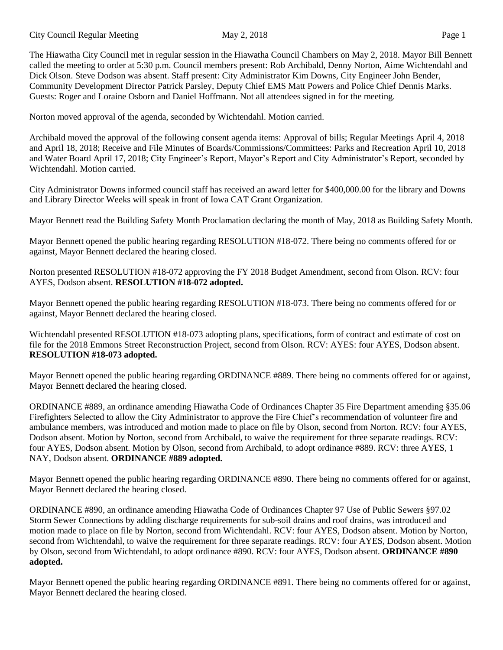City Council Regular Meeting May 2, 2018 Page 1

The Hiawatha City Council met in regular session in the Hiawatha Council Chambers on May 2, 2018. Mayor Bill Bennett called the meeting to order at 5:30 p.m. Council members present: Rob Archibald, Denny Norton, Aime Wichtendahl and Dick Olson. Steve Dodson was absent. Staff present: City Administrator Kim Downs, City Engineer John Bender, Community Development Director Patrick Parsley, Deputy Chief EMS Matt Powers and Police Chief Dennis Marks. Guests: Roger and Loraine Osborn and Daniel Hoffmann. Not all attendees signed in for the meeting.

Norton moved approval of the agenda, seconded by Wichtendahl. Motion carried.

Archibald moved the approval of the following consent agenda items: Approval of bills; Regular Meetings April 4, 2018 and April 18, 2018; Receive and File Minutes of Boards/Commissions/Committees: Parks and Recreation April 10, 2018 and Water Board April 17, 2018; City Engineer's Report, Mayor's Report and City Administrator's Report, seconded by Wichtendahl. Motion carried.

City Administrator Downs informed council staff has received an award letter for \$400,000.00 for the library and Downs and Library Director Weeks will speak in front of Iowa CAT Grant Organization.

Mayor Bennett read the Building Safety Month Proclamation declaring the month of May, 2018 as Building Safety Month.

Mayor Bennett opened the public hearing regarding RESOLUTION #18-072. There being no comments offered for or against, Mayor Bennett declared the hearing closed.

Norton presented RESOLUTION #18-072 approving the FY 2018 Budget Amendment, second from Olson. RCV: four AYES, Dodson absent. **RESOLUTION #18-072 adopted.**

Mayor Bennett opened the public hearing regarding RESOLUTION #18-073. There being no comments offered for or against, Mayor Bennett declared the hearing closed.

Wichtendahl presented RESOLUTION #18-073 adopting plans, specifications, form of contract and estimate of cost on file for the 2018 Emmons Street Reconstruction Project, second from Olson. RCV: AYES: four AYES, Dodson absent. **RESOLUTION #18-073 adopted.**

Mayor Bennett opened the public hearing regarding ORDINANCE #889. There being no comments offered for or against, Mayor Bennett declared the hearing closed.

ORDINANCE #889, an ordinance amending Hiawatha Code of Ordinances Chapter 35 Fire Department amending §35.06 Firefighters Selected to allow the City Administrator to approve the Fire Chief's recommendation of volunteer fire and ambulance members, was introduced and motion made to place on file by Olson, second from Norton. RCV: four AYES, Dodson absent. Motion by Norton, second from Archibald, to waive the requirement for three separate readings. RCV: four AYES, Dodson absent. Motion by Olson, second from Archibald, to adopt ordinance #889. RCV: three AYES, 1 NAY, Dodson absent. **ORDINANCE #889 adopted.**

Mayor Bennett opened the public hearing regarding ORDINANCE #890. There being no comments offered for or against, Mayor Bennett declared the hearing closed.

ORDINANCE #890, an ordinance amending Hiawatha Code of Ordinances Chapter 97 Use of Public Sewers §97.02 Storm Sewer Connections by adding discharge requirements for sub-soil drains and roof drains, was introduced and motion made to place on file by Norton, second from Wichtendahl. RCV: four AYES, Dodson absent. Motion by Norton, second from Wichtendahl, to waive the requirement for three separate readings. RCV: four AYES, Dodson absent. Motion by Olson, second from Wichtendahl, to adopt ordinance #890. RCV: four AYES, Dodson absent. **ORDINANCE #890 adopted.**

Mayor Bennett opened the public hearing regarding ORDINANCE #891. There being no comments offered for or against, Mayor Bennett declared the hearing closed.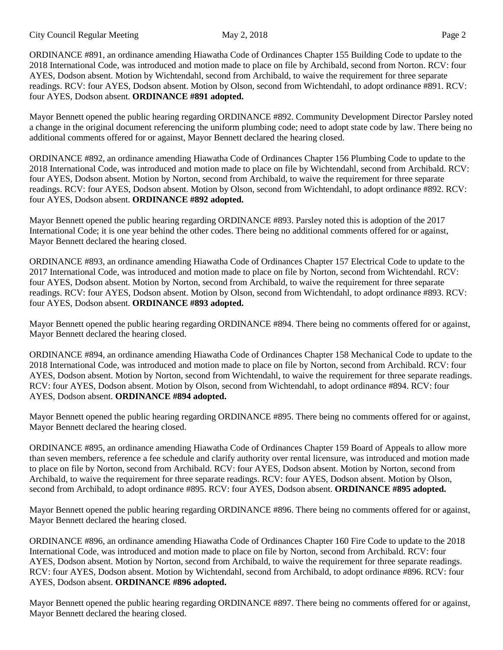City Council Regular Meeting May 2, 2018 Page 2

ORDINANCE #891, an ordinance amending Hiawatha Code of Ordinances Chapter 155 Building Code to update to the 2018 International Code, was introduced and motion made to place on file by Archibald, second from Norton. RCV: four AYES, Dodson absent. Motion by Wichtendahl, second from Archibald, to waive the requirement for three separate readings. RCV: four AYES, Dodson absent. Motion by Olson, second from Wichtendahl, to adopt ordinance #891. RCV: four AYES, Dodson absent. **ORDINANCE #891 adopted.**

Mayor Bennett opened the public hearing regarding ORDINANCE #892. Community Development Director Parsley noted a change in the original document referencing the uniform plumbing code; need to adopt state code by law. There being no additional comments offered for or against, Mayor Bennett declared the hearing closed.

ORDINANCE #892, an ordinance amending Hiawatha Code of Ordinances Chapter 156 Plumbing Code to update to the 2018 International Code, was introduced and motion made to place on file by Wichtendahl, second from Archibald. RCV: four AYES, Dodson absent. Motion by Norton, second from Archibald, to waive the requirement for three separate readings. RCV: four AYES, Dodson absent. Motion by Olson, second from Wichtendahl, to adopt ordinance #892. RCV: four AYES, Dodson absent. **ORDINANCE #892 adopted.**

Mayor Bennett opened the public hearing regarding ORDINANCE #893. Parsley noted this is adoption of the 2017 International Code; it is one year behind the other codes. There being no additional comments offered for or against, Mayor Bennett declared the hearing closed.

ORDINANCE #893, an ordinance amending Hiawatha Code of Ordinances Chapter 157 Electrical Code to update to the 2017 International Code, was introduced and motion made to place on file by Norton, second from Wichtendahl. RCV: four AYES, Dodson absent. Motion by Norton, second from Archibald, to waive the requirement for three separate readings. RCV: four AYES, Dodson absent. Motion by Olson, second from Wichtendahl, to adopt ordinance #893. RCV: four AYES, Dodson absent. **ORDINANCE #893 adopted.**

Mayor Bennett opened the public hearing regarding ORDINANCE #894. There being no comments offered for or against, Mayor Bennett declared the hearing closed.

ORDINANCE #894, an ordinance amending Hiawatha Code of Ordinances Chapter 158 Mechanical Code to update to the 2018 International Code, was introduced and motion made to place on file by Norton, second from Archibald. RCV: four AYES, Dodson absent. Motion by Norton, second from Wichtendahl, to waive the requirement for three separate readings. RCV: four AYES, Dodson absent. Motion by Olson, second from Wichtendahl, to adopt ordinance #894. RCV: four AYES, Dodson absent. **ORDINANCE #894 adopted.**

Mayor Bennett opened the public hearing regarding ORDINANCE #895. There being no comments offered for or against, Mayor Bennett declared the hearing closed.

ORDINANCE #895, an ordinance amending Hiawatha Code of Ordinances Chapter 159 Board of Appeals to allow more than seven members, reference a fee schedule and clarify authority over rental licensure, was introduced and motion made to place on file by Norton, second from Archibald. RCV: four AYES, Dodson absent. Motion by Norton, second from Archibald, to waive the requirement for three separate readings. RCV: four AYES, Dodson absent. Motion by Olson, second from Archibald, to adopt ordinance #895. RCV: four AYES, Dodson absent. **ORDINANCE #895 adopted.**

Mayor Bennett opened the public hearing regarding ORDINANCE #896. There being no comments offered for or against, Mayor Bennett declared the hearing closed.

ORDINANCE #896, an ordinance amending Hiawatha Code of Ordinances Chapter 160 Fire Code to update to the 2018 International Code, was introduced and motion made to place on file by Norton, second from Archibald. RCV: four AYES, Dodson absent. Motion by Norton, second from Archibald, to waive the requirement for three separate readings. RCV: four AYES, Dodson absent. Motion by Wichtendahl, second from Archibald, to adopt ordinance #896. RCV: four AYES, Dodson absent. **ORDINANCE #896 adopted.**

Mayor Bennett opened the public hearing regarding ORDINANCE #897. There being no comments offered for or against, Mayor Bennett declared the hearing closed.